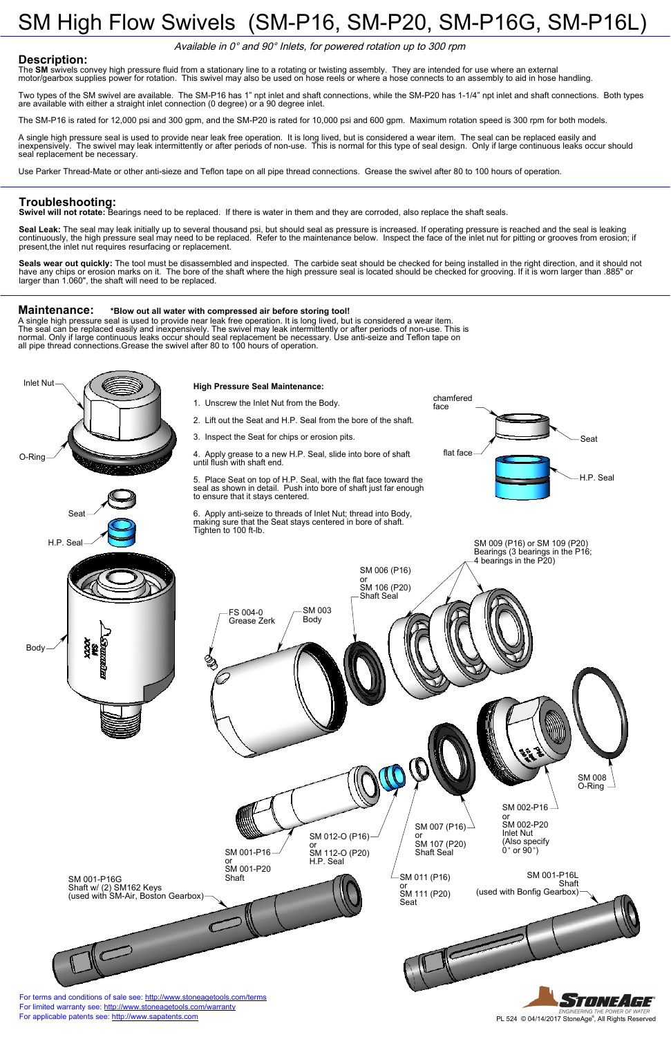#### **Maintenance: \*Blow out all water with compressed air before storing tool!**

A single high pressure seal is used to provide near leak free operation. It is long lived, but is considered a wear item. The seal can be replaced easily and inexpensively. The swivel may leak intermittently or after periods of non-use. This is normal. Only if large continuous leaks occur should seal replacement be necessary. Use anti-seize and Teflon tape on all pipe thread connections.Grease the swivel after 80 to 100 hours of operation.

**Seal Leak:** The seal may leak initially up to several thousand psi, but should seal as pressure is increased. If operating pressure is reached and the seal is leaking continuously, the high pressure seal may need to be replaced. Refer to the maintenance below. Inspect the face of the inlet nut for pitting or grooves from erosion; if present, the inlet nut requires resurfacing or replacement.

# SM High Flow Swivels (SM-P16, SM-P20, SM-P16G, SM-P16L)

### **Description:**

The **SM** swivels convey high pressure fluid from a stationary line to a rotating or twisting assembly. They are intended for use where an external motor/gearbox supplies power for rotation. This swivel may also be used on hose reels or where a hose connects to an assembly to aid in hose handling.

Seals wear out quickly: The tool must be disassembled and inspected. The carbide seat should be checked for being installed in the right direction, and it should not have any chips or erosion marks on it. The bore of the shaft where the high pressure seal is located should be checked for grooving. If it is worn larger than .885" or larger than 1.060", the shaft will need to be replaced.



Two types of the SM swivel are available. The SM-P16 has 1" npt inlet and shaft connections, while the SM-P20 has 1-1/4" npt inlet and shaft connections. Both types are available with either a straight inlet connection (0 degree) or a 90 degree inlet.

The SM-P16 is rated for 12,000 psi and 300 gpm, and the SM-P20 is rated for 10,000 psi and 600 gpm. Maximum rotation speed is 300 rpm for both models.

A single high pressure seal is used to provide near leak free operation. It is long lived, but is considered a wear item. The seal can be replaced easily and inexpensively. The swivel may leak intermittently or after periods of non-use. This is normal for this type of seal design. Only if large continuous leaks occur should seal replacement be necessary.

Use Parker Thread-Mate or other anti-sieze and Teflon tape on all pipe thread connections. Grease the swivel after 80 to 100 hours of operation.

### **Troubleshooting:**

**Swivel will not rotate:** Bearings need to be replaced. If there is water in them and they are corroded, also replace the shaft seals.

Available in 0° and 90° Inlets, for powered rotation up to 300 rpm